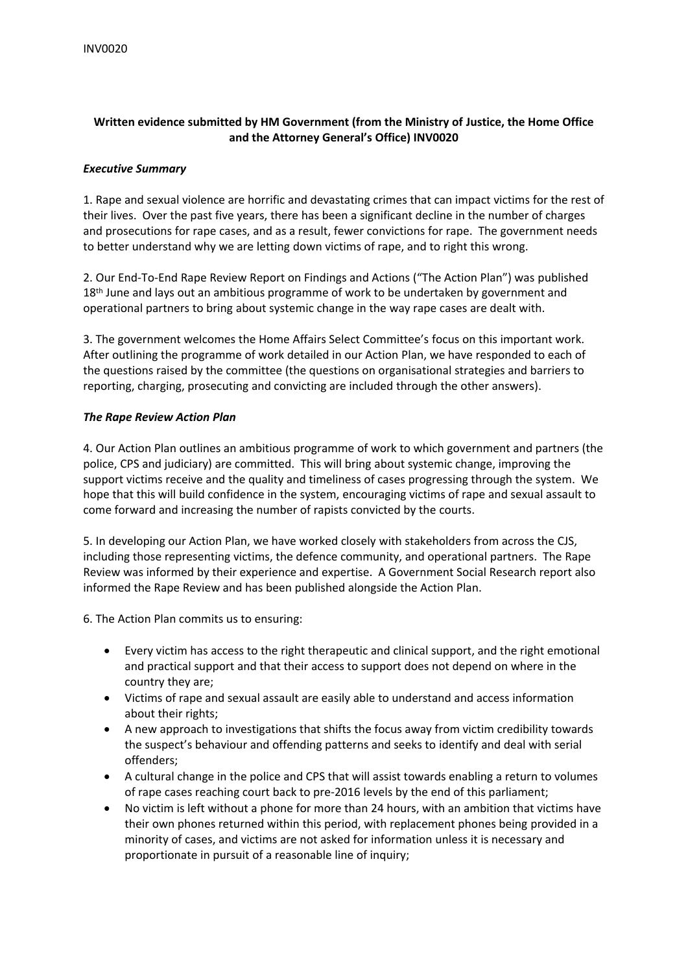# **Written evidence submitted by HM Government (from the Ministry of Justice, the Home Office and the Attorney General's Office) INV0020**

### *Executive Summary*

1. Rape and sexual violence are horrific and devastating crimes that can impact victims for the rest of their lives. Over the past five years, there has been a significant decline in the number of charges and prosecutions for rape cases, and as a result, fewer convictions for rape. The government needs to better understand why we are letting down victims of rape, and to right this wrong.

2. Our End-To-End Rape Review Report on Findings and Actions ("The Action Plan") was published 18<sup>th</sup> June and lays out an ambitious programme of work to be undertaken by government and operational partners to bring about systemic change in the way rape cases are dealt with.

3. The government welcomes the Home Affairs Select Committee's focus on this important work. After outlining the programme of work detailed in our Action Plan, we have responded to each of the questions raised by the committee (the questions on organisational strategies and barriers to reporting, charging, prosecuting and convicting are included through the other answers).

#### *The Rape Review Action Plan*

4. Our Action Plan outlines an ambitious programme of work to which government and partners (the police, CPS and judiciary) are committed. This will bring about systemic change, improving the support victims receive and the quality and timeliness of cases progressing through the system. We hope that this will build confidence in the system, encouraging victims of rape and sexual assault to come forward and increasing the number of rapists convicted by the courts.

5. In developing our Action Plan, we have worked closely with stakeholders from across the CJS, including those representing victims, the defence community, and operational partners. The Rape Review was informed by their experience and expertise. A Government Social Research report also informed the Rape Review and has been published alongside the Action Plan.

6. The Action Plan commits us to ensuring:

- Every victim has access to the right therapeutic and clinical support, and the right emotional and practical support and that their access to support does not depend on where in the country they are;
- Victims of rape and sexual assault are easily able to understand and access information about their rights;
- A new approach to investigations that shifts the focus away from victim credibility towards the suspect's behaviour and offending patterns and seeks to identify and deal with serial offenders;
- A cultural change in the police and CPS that will assist towards enabling a return to volumes of rape cases reaching court back to pre-2016 levels by the end of this parliament;
- No victim is left without a phone for more than 24 hours, with an ambition that victims have their own phones returned within this period, with replacement phones being provided in a minority of cases, and victims are not asked for information unless it is necessary and proportionate in pursuit of a reasonable line of inquiry;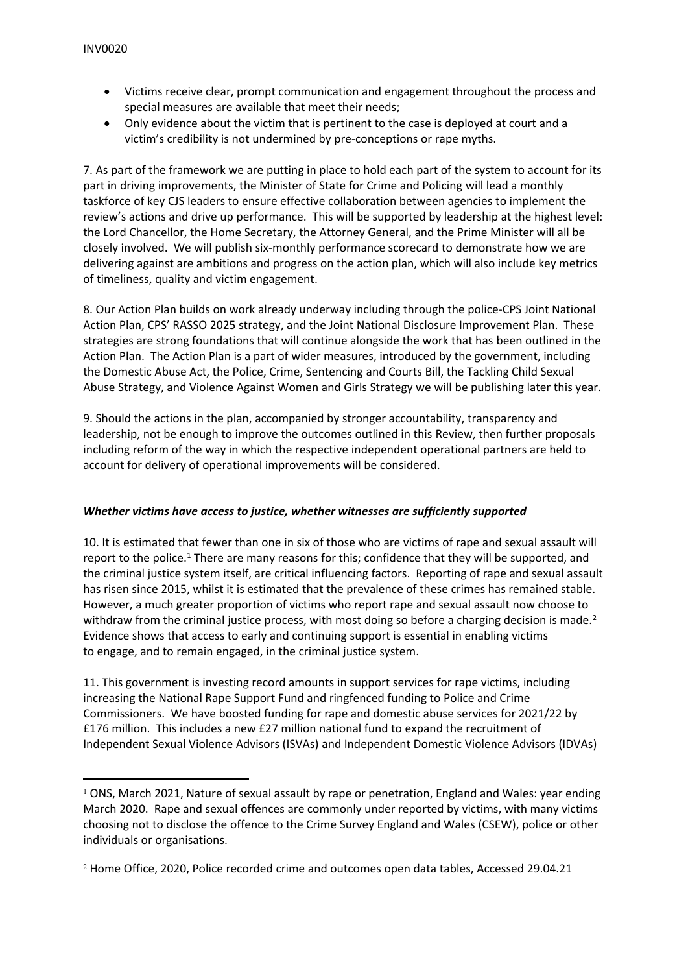- Victims receive clear, prompt communication and engagement throughout the process and special measures are available that meet their needs;
- Only evidence about the victim that is pertinent to the case is deployed at court and a victim's credibility is not undermined by pre-conceptions or rape myths.

7. As part of the framework we are putting in place to hold each part of the system to account for its part in driving improvements, the Minister of State for Crime and Policing will lead a monthly taskforce of key CJS leaders to ensure effective collaboration between agencies to implement the review's actions and drive up performance. This will be supported by leadership at the highest level: the Lord Chancellor, the Home Secretary, the Attorney General, and the Prime Minister will all be closely involved. We will publish six-monthly performance scorecard to demonstrate how we are delivering against are ambitions and progress on the action plan, which will also include key metrics of timeliness, quality and victim engagement.

8. Our Action Plan builds on work already underway including through the police-CPS Joint National Action Plan, CPS' RASSO 2025 strategy, and the Joint National Disclosure Improvement Plan. These strategies are strong foundations that will continue alongside the work that has been outlined in the Action Plan. The Action Plan is a part of wider measures, introduced by the government, including the Domestic Abuse Act, the Police, Crime, Sentencing and Courts Bill, the Tackling Child Sexual Abuse Strategy, and Violence Against Women and Girls Strategy we will be publishing later this year.

9. Should the actions in the plan, accompanied by stronger accountability, transparency and leadership, not be enough to improve the outcomes outlined in this Review, then further proposals including reform of the way in which the respective independent operational partners are held to account for delivery of operational improvements will be considered.

#### *Whether victims have access to justice, whether witnesses are sufficiently supported*

10. It is estimated that fewer than one in six of those who are victims of rape and sexual assault will report to the police.<sup>1</sup> There are many reasons for this; confidence that they will be supported, and the criminal justice system itself, are critical influencing factors. Reporting of rape and sexual assault has risen since 2015, whilst it is estimated that the prevalence of these crimes has remained stable. However, a much greater proportion of victims who report rape and sexual assault now choose to withdraw from the criminal justice process, with most doing so before a charging decision is made.<sup>2</sup> Evidence shows that access to early and continuing support is essential in enabling victims to engage, and to remain engaged, in the criminal justice system.

11. This government is investing record amounts in support services for rape victims, including increasing the National Rape Support Fund and ringfenced funding to Police and Crime Commissioners. We have boosted funding for rape and domestic abuse services for 2021/22 by £176 million. This includes a new £27 million national fund to expand the recruitment of Independent Sexual Violence Advisors (ISVAs) and Independent Domestic Violence Advisors (IDVAs)

<sup>1</sup> ONS, March 2021, Nature of sexual assault by rape or penetration, England and Wales: year ending March 2020. Rape and sexual offences are commonly under reported by victims, with many victims choosing not to disclose the offence to the Crime Survey England and Wales (CSEW), police or other individuals or organisations.

<sup>2</sup> Home Office, 2020, Police recorded crime and outcomes open data tables, Accessed 29.04.21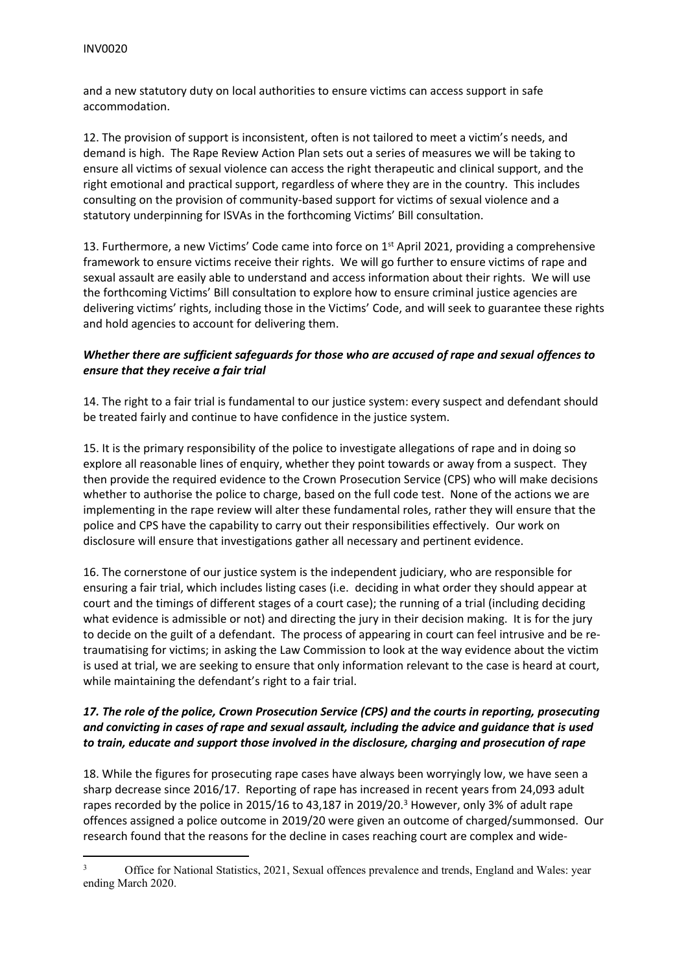and a new statutory duty on local authorities to ensure victims can access support in safe accommodation.

12. The provision of support is inconsistent, often is not tailored to meet a victim's needs, and demand is high. The Rape Review Action Plan sets out a series of measures we will be taking to ensure all victims of sexual violence can access the right therapeutic and clinical support, and the right emotional and practical support, regardless of where they are in the country. This includes consulting on the provision of community-based support for victims of sexual violence and a statutory underpinning for ISVAs in the forthcoming Victims' Bill consultation.

13. Furthermore, a new Victims' Code came into force on 1<sup>st</sup> April 2021, providing a comprehensive framework to ensure victims receive their rights. We will go further to ensure victims of rape and sexual assault are easily able to understand and access information about their rights. We will use the forthcoming Victims' Bill consultation to explore how to ensure criminal justice agencies are delivering victims' rights, including those in the Victims' Code, and will seek to guarantee these rights and hold agencies to account for delivering them.

### *Whether there are sufficient safeguards for those who are accused of rape and sexual offences to ensure that they receive a fair trial*

14. The right to a fair trial is fundamental to our justice system: every suspect and defendant should be treated fairly and continue to have confidence in the justice system.

15. It is the primary responsibility of the police to investigate allegations of rape and in doing so explore all reasonable lines of enquiry, whether they point towards or away from a suspect. They then provide the required evidence to the Crown Prosecution Service (CPS) who will make decisions whether to authorise the police to charge, based on the full code test. None of the actions we are implementing in the rape review will alter these fundamental roles, rather they will ensure that the police and CPS have the capability to carry out their responsibilities effectively. Our work on disclosure will ensure that investigations gather all necessary and pertinent evidence.

16. The cornerstone of our justice system is the independent judiciary, who are responsible for ensuring a fair trial, which includes listing cases (i.e. deciding in what order they should appear at court and the timings of different stages of a court case); the running of a trial (including deciding what evidence is admissible or not) and directing the jury in their decision making. It is for the jury to decide on the guilt of a defendant. The process of appearing in court can feel intrusive and be retraumatising for victims; in asking the Law Commission to look at the way evidence about the victim is used at trial, we are seeking to ensure that only information relevant to the case is heard at court, while maintaining the defendant's right to a fair trial.

# *17. The role of the police, Crown Prosecution Service (CPS) and the courts in reporting, prosecuting and convicting in cases of rape and sexual assault, including the advice and guidance that is used to train, educate and support those involved in the disclosure, charging and prosecution of rape*

18. While the figures for prosecuting rape cases have always been worryingly low, we have seen a sharp decrease since 2016/17. Reporting of rape has increased in recent years from 24,093 adult rapes recorded by the police in 2015/16 to 43,187 in 2019/20.<sup>3</sup> However, only 3% of adult rape offences assigned a police outcome in 2019/20 were given an outcome of charged/summonsed. Our research found that the reasons for the decline in cases reaching court are complex and wide-

<sup>&</sup>lt;sup>3</sup> Office for National Statistics, 2021, Sexual offences prevalence and trends, England and Wales: year ending March 2020.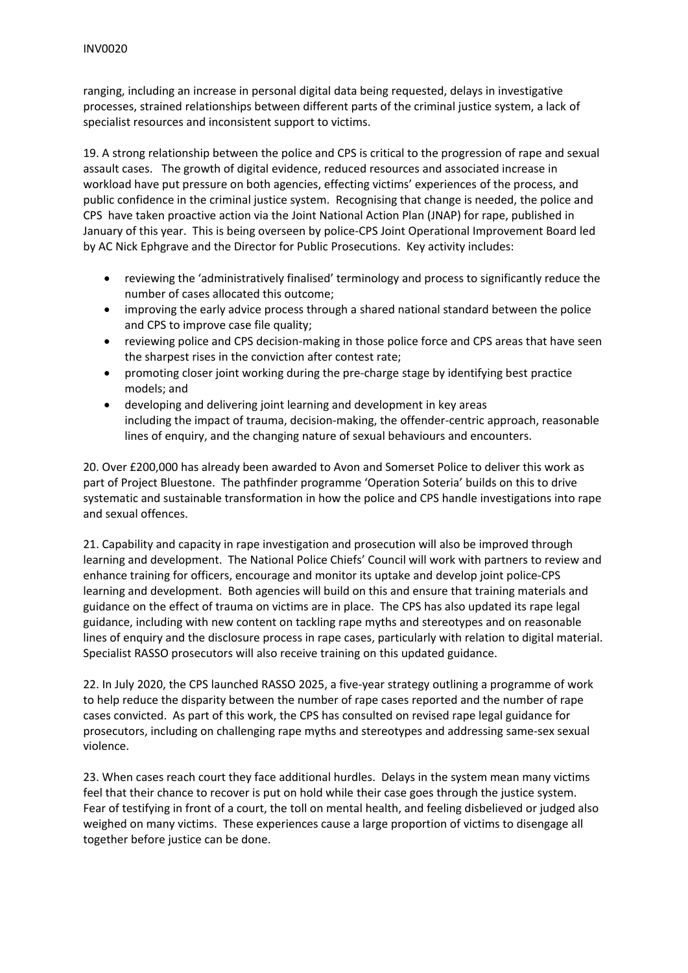ranging, including an increase in personal digital data being requested, delays in investigative processes, strained relationships between different parts of the criminal justice system, a lack of specialist resources and inconsistent support to victims.

19. A strong relationship between the police and CPS is critical to the progression of rape and sexual assault cases. The growth of digital evidence, reduced resources and associated increase in workload have put pressure on both agencies, effecting victims' experiences of the process, and public confidence in the criminal justice system. Recognising that change is needed, the police and CPS have taken proactive action via the Joint National Action Plan (JNAP) for rape, published in January of this year. This is being overseen by police-CPS Joint Operational Improvement Board led by AC Nick Ephgrave and the Director for Public Prosecutions. Key activity includes:

- reviewing the 'administratively finalised' terminology and process to significantly reduce the number of cases allocated this outcome;
- improving the early advice process through a shared national standard between the police and CPS to improve case file quality;
- reviewing police and CPS decision-making in those police force and CPS areas that have seen the sharpest rises in the conviction after contest rate;
- promoting closer joint working during the pre-charge stage by identifying best practice models; and
- developing and delivering joint learning and development in key areas including the impact of trauma, decision-making, the offender-centric approach, reasonable lines of enquiry, and the changing nature of sexual behaviours and encounters.

20. Over £200,000 has already been awarded to Avon and Somerset Police to deliver this work as part of Project Bluestone. The pathfinder programme 'Operation Soteria' builds on this to drive systematic and sustainable transformation in how the police and CPS handle investigations into rape and sexual offences.

21. Capability and capacity in rape investigation and prosecution will also be improved through learning and development. The National Police Chiefs' Council will work with partners to review and enhance training for officers, encourage and monitor its uptake and develop joint police-CPS learning and development. Both agencies will build on this and ensure that training materials and guidance on the effect of trauma on victims are in place. The CPS has also updated its rape legal guidance, including with new content on tackling rape myths and stereotypes and on reasonable lines of enquiry and the disclosure process in rape cases, particularly with relation to digital material. Specialist RASSO prosecutors will also receive training on this updated guidance.

22. In July 2020, the CPS launched RASSO 2025, a five-year strategy outlining a programme of work to help reduce the disparity between the number of rape cases reported and the number of rape cases convicted. As part of this work, the CPS has consulted on revised rape legal guidance for prosecutors, including on challenging rape myths and stereotypes and addressing same-sex sexual violence.

23. When cases reach court they face additional hurdles. Delays in the system mean many victims feel that their chance to recover is put on hold while their case goes through the justice system. Fear of testifying in front of a court, the toll on mental health, and feeling disbelieved or judged also weighed on many victims. These experiences cause a large proportion of victims to disengage all together before justice can be done.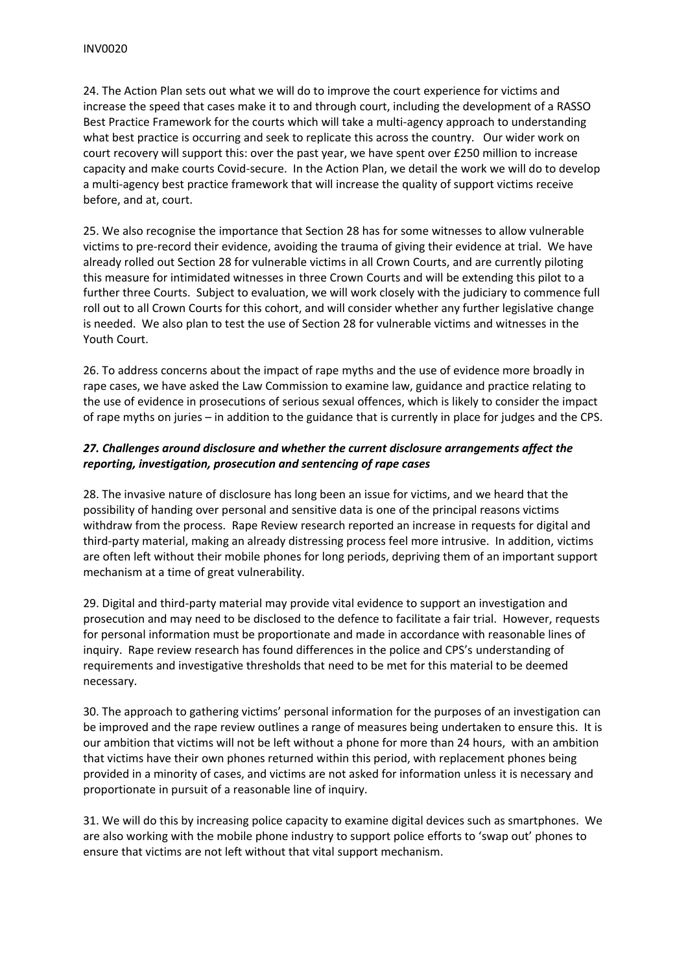24. The Action Plan sets out what we will do to improve the court experience for victims and increase the speed that cases make it to and through court, including the development of a RASSO Best Practice Framework for the courts which will take a multi-agency approach to understanding what best practice is occurring and seek to replicate this across the country. Our wider work on court recovery will support this: over the past year, we have spent over £250 million to increase capacity and make courts Covid-secure. In the Action Plan, we detail the work we will do to develop a multi-agency best practice framework that will increase the quality of support victims receive before, and at, court.

25. We also recognise the importance that Section 28 has for some witnesses to allow vulnerable victims to pre-record their evidence, avoiding the trauma of giving their evidence at trial. We have already rolled out Section 28 for vulnerable victims in all Crown Courts, and are currently piloting this measure for intimidated witnesses in three Crown Courts and will be extending this pilot to a further three Courts. Subject to evaluation, we will work closely with the judiciary to commence full roll out to all Crown Courts for this cohort, and will consider whether any further legislative change is needed. We also plan to test the use of Section 28 for vulnerable victims and witnesses in the Youth Court.

26. To address concerns about the impact of rape myths and the use of evidence more broadly in rape cases, we have asked the Law Commission to examine law, guidance and practice relating to the use of evidence in prosecutions of serious sexual offences, which is likely to consider the impact of rape myths on juries – in addition to the guidance that is currently in place for judges and the CPS.

# *27. Challenges around disclosure and whether the current disclosure arrangements affect the reporting, investigation, prosecution and sentencing of rape cases*

28. The invasive nature of disclosure has long been an issue for victims, and we heard that the possibility of handing over personal and sensitive data is one of the principal reasons victims withdraw from the process. Rape Review research reported an increase in requests for digital and third-party material, making an already distressing process feel more intrusive. In addition, victims are often left without their mobile phones for long periods, depriving them of an important support mechanism at a time of great vulnerability.

29. Digital and third-party material may provide vital evidence to support an investigation and prosecution and may need to be disclosed to the defence to facilitate a fair trial. However, requests for personal information must be proportionate and made in accordance with reasonable lines of inquiry. Rape review research has found differences in the police and CPS's understanding of requirements and investigative thresholds that need to be met for this material to be deemed necessary.

30. The approach to gathering victims' personal information for the purposes of an investigation can be improved and the rape review outlines a range of measures being undertaken to ensure this. It is our ambition that victims will not be left without a phone for more than 24 hours, with an ambition that victims have their own phones returned within this period, with replacement phones being provided in a minority of cases, and victims are not asked for information unless it is necessary and proportionate in pursuit of a reasonable line of inquiry.

31. We will do this by increasing police capacity to examine digital devices such as smartphones. We are also working with the mobile phone industry to support police efforts to 'swap out' phones to ensure that victims are not left without that vital support mechanism.